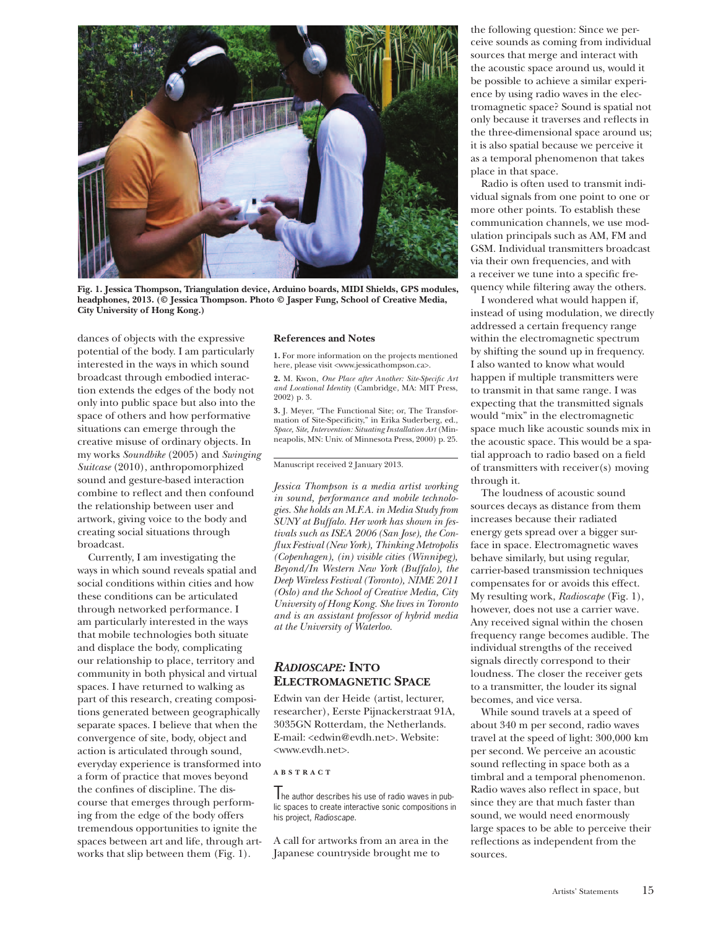

**Fig. 1. Jessica Thompson, Triangulation device, Arduino boards, MIDI Shields, GPS modules, headphones, 2013. (© Jessica Thompson. Photo © Jasper Fung, School of Creative Media, City University of Hong Kong.)**

dances of objects with the expressive potential of the body. I am particularly interested in the ways in which sound broadcast through embodied interaction extends the edges of the body not only into public space but also into the space of others and how performative situations can emerge through the creative misuse of ordinary objects. In my works *Soundbike* (2005) and *Swinging Suitcase* (2010), anthropomorphized sound and gesture-based interaction combine to reflect and then confound the relationship between user and artwork, giving voice to the body and creating social situations through broadcast.

Currently, I am investigating the ways in which sound reveals spatial and social conditions within cities and how these conditions can be articulated through networked performance. I am particularly interested in the ways that mobile technologies both situate and displace the body, complicating our relationship to place, territory and community in both physical and virtual spaces. I have returned to walking as part of this research, creating compositions generated between geographically separate spaces. I believe that when the convergence of site, body, object and action is articulated through sound, everyday experience is transformed into a form of practice that moves beyond the confines of discipline. The discourse that emerges through performing from the edge of the body offers tremendous opportunities to ignite the spaces between art and life, through artworks that slip between them (Fig. 1).

## **References and Notes**

**1.** For more information on the projects mentioned here, please visit <www.jessicathompson.ca>.

**2.** M. Kwon, *One Place after Another: Site-Specific Art and Locational Identity* (Cambridge, MA: MIT Press, 2002) p. 3.

**3.** J. Meyer, "The Functional Site; or, The Transformation of Site-Specificity," in Erika Suderberg, ed., *Space, Site, Intervention: Situating Installation Art* (Minneapolis, MN: Univ. of Minnesota Press, 2000) p. 25.

Manuscript received 2 January 2013.

*Jessica Thompson is a media artist working in sound, performance and mobile technologies. She holds an M.F.A. in Media Study from SUNY at Buffalo. Her work has shown in festivals such as ISEA 2006 (San Jose), the Conflux Festival (New York), Thinking Metropolis (Copenhagen), (in) visible cities (Winnipeg), Beyond/In Western New York (Buffalo), the Deep Wireless Festival (Toronto), NIME 2011 (Oslo) and the School of Creative Media, City University of Hong Kong. She lives in Toronto and is an assistant professor of hybrid media at the University of Waterloo.*

## *Radioscape:* **Into Electromagnetic Space**

Edwin van der Heide (artist, lecturer, researcher), Eerste Pijnackerstraat 91A, 3035GN Rotterdam, the Netherlands. E-mail: <edwin@evdh.net>. Website: <www.evdh.net>.

## **A B S T R A C T**

The author describes his use of radio waves in public spaces to create interactive sonic compositions in his project, *Radioscape*.

A call for artworks from an area in the Japanese countryside brought me to

the following question: Since we perceive sounds as coming from individual sources that merge and interact with the acoustic space around us, would it be possible to achieve a similar experience by using radio waves in the electromagnetic space? Sound is spatial not only because it traverses and reflects in the three-dimensional space around us; it is also spatial because we perceive it as a temporal phenomenon that takes place in that space.

Radio is often used to transmit individual signals from one point to one or more other points. To establish these communication channels, we use modulation principals such as AM, FM and GSM. Individual transmitters broadcast via their own frequencies, and with a receiver we tune into a specific frequency while filtering away the others.

I wondered what would happen if, instead of using modulation, we directly addressed a certain frequency range within the electromagnetic spectrum by shifting the sound up in frequency. I also wanted to know what would happen if multiple transmitters were to transmit in that same range. I was expecting that the transmitted signals would "mix" in the electromagnetic space much like acoustic sounds mix in the acoustic space. This would be a spatial approach to radio based on a field of transmitters with receiver(s) moving through it.

The loudness of acoustic sound sources decays as distance from them increases because their radiated energy gets spread over a bigger surface in space. Electromagnetic waves behave similarly, but using regular, carrier-based transmission techniques compensates for or avoids this effect. My resulting work, *Radioscape* (Fig. 1), however, does not use a carrier wave. Any received signal within the chosen frequency range becomes audible. The individual strengths of the received signals directly correspond to their loudness. The closer the receiver gets to a transmitter, the louder its signal becomes, and vice versa.

While sound travels at a speed of about 340 m per second, radio waves travel at the speed of light: 300,000 km per second. We perceive an acoustic sound reflecting in space both as a timbral and a temporal phenomenon. Radio waves also reflect in space, but since they are that much faster than sound, we would need enormously large spaces to be able to perceive their reflections as independent from the sources.